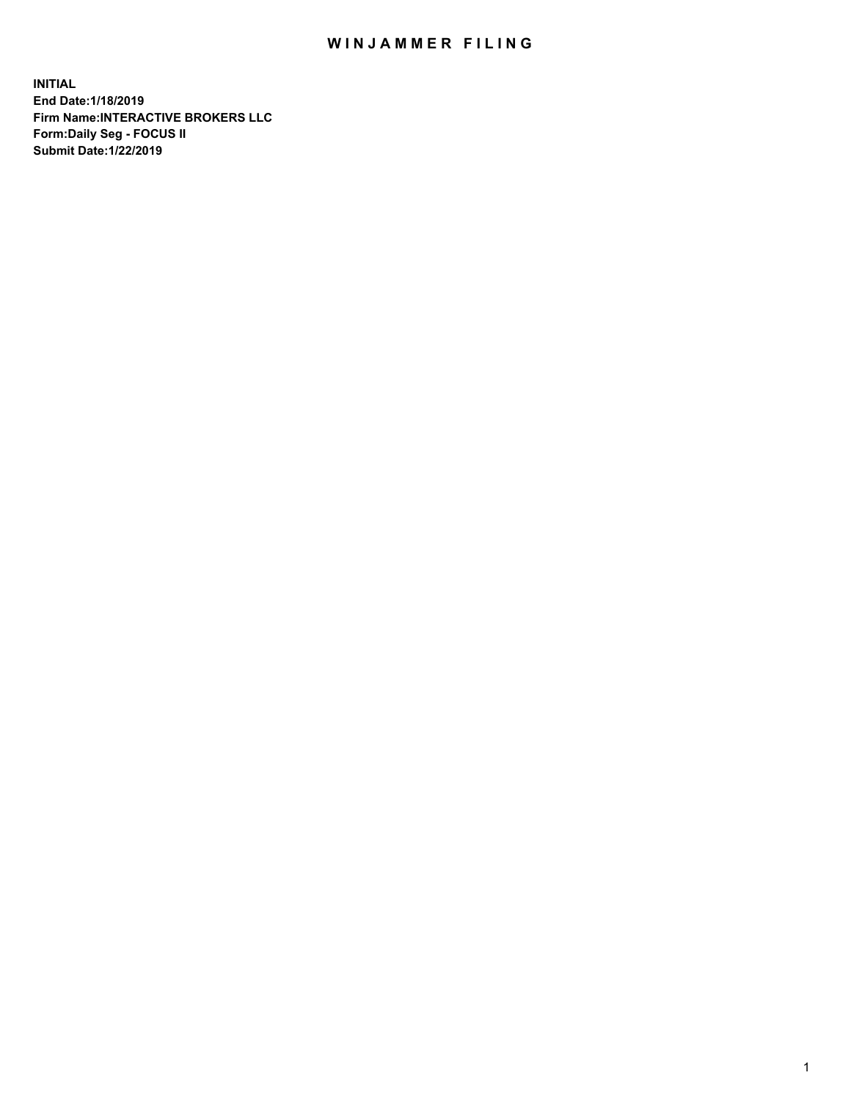## WIN JAMMER FILING

**INITIAL End Date:1/18/2019 Firm Name:INTERACTIVE BROKERS LLC Form:Daily Seg - FOCUS II Submit Date:1/22/2019**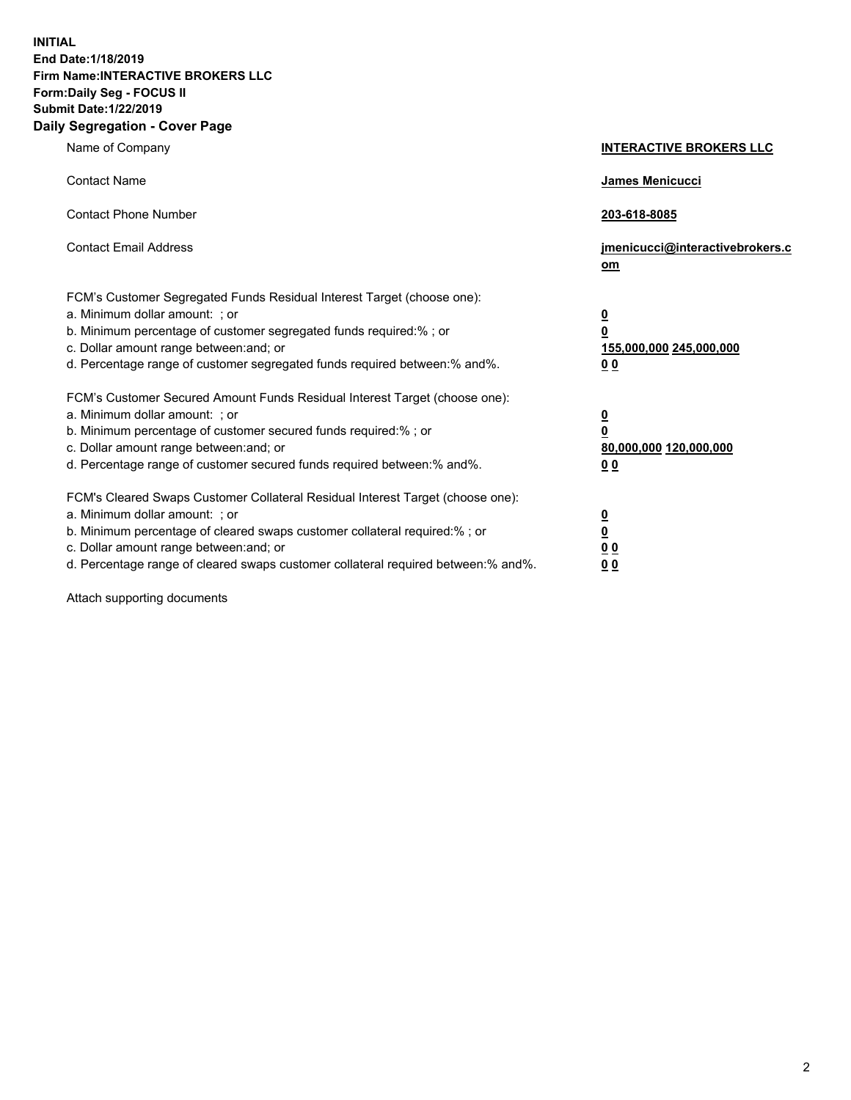**INITIAL End Date:1/18/2019 Firm Name:INTERACTIVE BROKERS LLC Form:Daily Seg - FOCUS II Submit Date:1/22/2019 Daily Segregation - Cover Page**

| Name of Company                                                                                                                                                                                                                                                                                                                | <b>INTERACTIVE BROKERS LLC</b>                                                                  |
|--------------------------------------------------------------------------------------------------------------------------------------------------------------------------------------------------------------------------------------------------------------------------------------------------------------------------------|-------------------------------------------------------------------------------------------------|
| <b>Contact Name</b>                                                                                                                                                                                                                                                                                                            | James Menicucci                                                                                 |
| <b>Contact Phone Number</b>                                                                                                                                                                                                                                                                                                    | 203-618-8085                                                                                    |
| <b>Contact Email Address</b>                                                                                                                                                                                                                                                                                                   | jmenicucci@interactivebrokers.c<br>om                                                           |
| FCM's Customer Segregated Funds Residual Interest Target (choose one):<br>a. Minimum dollar amount: ; or<br>b. Minimum percentage of customer segregated funds required:% ; or<br>c. Dollar amount range between: and; or<br>d. Percentage range of customer segregated funds required between:% and%.                         | $\overline{\mathbf{0}}$<br>$\overline{\mathbf{0}}$<br>155,000,000 245,000,000<br>0 <sub>0</sub> |
| FCM's Customer Secured Amount Funds Residual Interest Target (choose one):<br>a. Minimum dollar amount: ; or<br>b. Minimum percentage of customer secured funds required:%; or<br>c. Dollar amount range between: and; or<br>d. Percentage range of customer secured funds required between:% and%.                            | $\overline{\mathbf{0}}$<br>$\overline{\mathbf{0}}$<br>80,000,000 120,000,000<br>00              |
| FCM's Cleared Swaps Customer Collateral Residual Interest Target (choose one):<br>a. Minimum dollar amount: ; or<br>b. Minimum percentage of cleared swaps customer collateral required:% ; or<br>c. Dollar amount range between: and; or<br>d. Percentage range of cleared swaps customer collateral required between:% and%. | $\overline{\mathbf{0}}$<br>$\underline{\mathbf{0}}$<br>0 <sub>0</sub><br>0 <sub>0</sub>         |

Attach supporting documents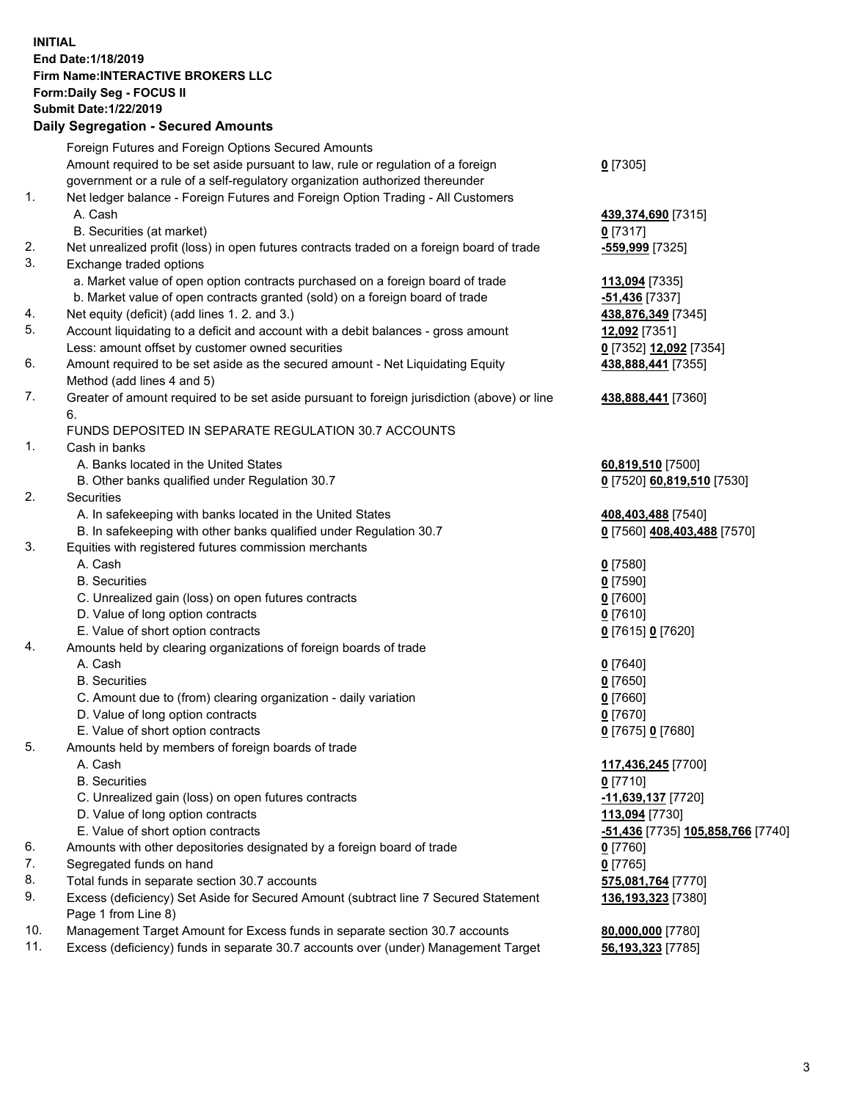## **INITIAL End Date:1/18/2019 Firm Name:INTERACTIVE BROKERS LLC Form:Daily Seg - FOCUS II Submit Date:1/22/2019 Daily Segregation - Secured Amounts**

|                | Dany Ocgregation - oceaned Amounte                                                          |                                   |
|----------------|---------------------------------------------------------------------------------------------|-----------------------------------|
|                | Foreign Futures and Foreign Options Secured Amounts                                         |                                   |
|                | Amount required to be set aside pursuant to law, rule or regulation of a foreign            | $0$ [7305]                        |
|                | government or a rule of a self-regulatory organization authorized thereunder                |                                   |
| $\mathbf{1}$ . | Net ledger balance - Foreign Futures and Foreign Option Trading - All Customers             |                                   |
|                | A. Cash                                                                                     | 439,374,690 [7315]                |
|                | B. Securities (at market)                                                                   | $0$ [7317]                        |
| 2.             | Net unrealized profit (loss) in open futures contracts traded on a foreign board of trade   | -559,999 [7325]                   |
| 3.             | Exchange traded options                                                                     |                                   |
|                | a. Market value of open option contracts purchased on a foreign board of trade              | 113,094 [7335]                    |
|                | b. Market value of open contracts granted (sold) on a foreign board of trade                | -51,436 [7337]                    |
| 4.             | Net equity (deficit) (add lines 1. 2. and 3.)                                               | 438,876,349 [7345]                |
| 5.             | Account liquidating to a deficit and account with a debit balances - gross amount           | 12,092 [7351]                     |
|                | Less: amount offset by customer owned securities                                            | 0 [7352] 12,092 [7354]            |
| 6.             | Amount required to be set aside as the secured amount - Net Liquidating Equity              | 438,888,441 [7355]                |
|                | Method (add lines 4 and 5)                                                                  |                                   |
| 7.             | Greater of amount required to be set aside pursuant to foreign jurisdiction (above) or line | 438,888,441 [7360]                |
|                | 6.                                                                                          |                                   |
|                | FUNDS DEPOSITED IN SEPARATE REGULATION 30.7 ACCOUNTS                                        |                                   |
| $\mathbf{1}$ . | Cash in banks                                                                               |                                   |
|                | A. Banks located in the United States                                                       | 60,819,510 [7500]                 |
|                | B. Other banks qualified under Regulation 30.7                                              | 0 [7520] 60,819,510 [7530]        |
| 2.             | Securities                                                                                  |                                   |
|                | A. In safekeeping with banks located in the United States                                   | 408,403,488 [7540]                |
|                | B. In safekeeping with other banks qualified under Regulation 30.7                          | 0 [7560] 408,403,488 [7570]       |
| 3.             | Equities with registered futures commission merchants                                       |                                   |
|                | A. Cash                                                                                     | $0$ [7580]                        |
|                | <b>B.</b> Securities                                                                        | $0$ [7590]                        |
|                | C. Unrealized gain (loss) on open futures contracts                                         | $0$ [7600]                        |
|                | D. Value of long option contracts                                                           | $0$ [7610]                        |
|                | E. Value of short option contracts                                                          | 0 [7615] 0 [7620]                 |
| 4.             | Amounts held by clearing organizations of foreign boards of trade                           |                                   |
|                | A. Cash                                                                                     | $0$ [7640]                        |
|                | <b>B.</b> Securities                                                                        | $0$ [7650]                        |
|                | C. Amount due to (from) clearing organization - daily variation                             | $0$ [7660]                        |
|                | D. Value of long option contracts                                                           | $0$ [7670]                        |
|                | E. Value of short option contracts                                                          | 0 [7675] 0 [7680]                 |
| 5.             | Amounts held by members of foreign boards of trade                                          |                                   |
|                | A. Cash                                                                                     | 117,436,245 [7700]                |
|                | <b>B.</b> Securities                                                                        | $0$ [7710]                        |
|                | C. Unrealized gain (loss) on open futures contracts                                         | -11,639,137 [7720]                |
|                | D. Value of long option contracts                                                           | 113,094 [7730]                    |
|                | E. Value of short option contracts                                                          | -51,436 [7735] 105,858,766 [7740] |
| 6.             | Amounts with other depositories designated by a foreign board of trade                      | 0 [7760]                          |
| 7.             | Segregated funds on hand                                                                    | $0$ [7765]                        |
| 8.             | Total funds in separate section 30.7 accounts                                               | 575,081,764 [7770]                |
| 9.             | Excess (deficiency) Set Aside for Secured Amount (subtract line 7 Secured Statement         | 136,193,323 [7380]                |
|                | Page 1 from Line 8)                                                                         |                                   |
| 10.            | Management Target Amount for Excess funds in separate section 30.7 accounts                 | 80,000,000 [7780]                 |
| 11.            | Excess (deficiency) funds in separate 30.7 accounts over (under) Management Target          | 56,193,323 [7785]                 |
|                |                                                                                             |                                   |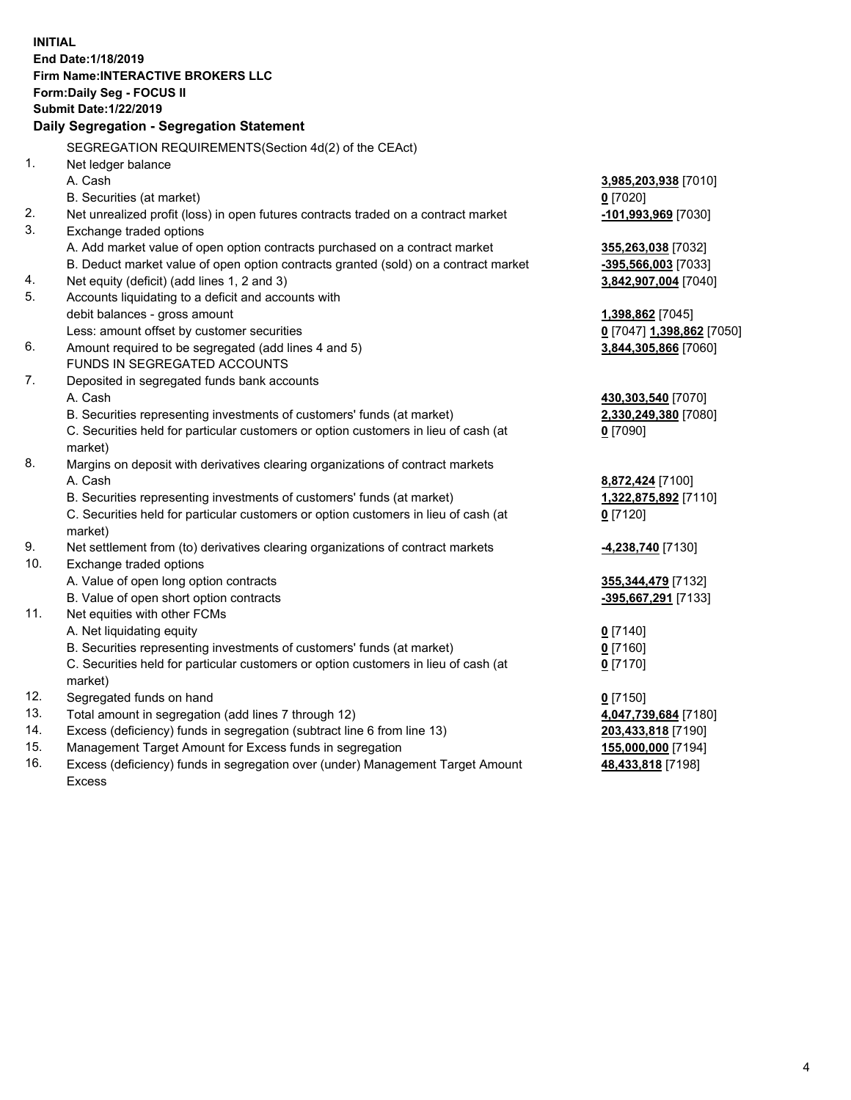**INITIAL End Date:1/18/2019 Firm Name:INTERACTIVE BROKERS LLC Form:Daily Seg - FOCUS II Submit Date:1/22/2019 Daily Segregation - Segregation Statement** SEGREGATION REQUIREMENTS(Section 4d(2) of the CEAct) 1. Net ledger balance A. Cash **3,985,203,938** [7010] B. Securities (at market) **0** [7020] 2. Net unrealized profit (loss) in open futures contracts traded on a contract market **-101,993,969** [7030] 3. Exchange traded options A. Add market value of open option contracts purchased on a contract market **355,263,038** [7032] B. Deduct market value of open option contracts granted (sold) on a contract market **-395,566,003** [7033] 4. Net equity (deficit) (add lines 1, 2 and 3) **3,842,907,004** [7040] 5. Accounts liquidating to a deficit and accounts with debit balances - gross amount **1,398,862** [7045] Less: amount offset by customer securities **0** [7047] **1,398,862** [7050] 6. Amount required to be segregated (add lines 4 and 5) **3,844,305,866** [7060] FUNDS IN SEGREGATED ACCOUNTS 7. Deposited in segregated funds bank accounts A. Cash **430,303,540** [7070] B. Securities representing investments of customers' funds (at market) **2,330,249,380** [7080] C. Securities held for particular customers or option customers in lieu of cash (at market) **0** [7090] 8. Margins on deposit with derivatives clearing organizations of contract markets A. Cash **8,872,424** [7100] B. Securities representing investments of customers' funds (at market) **1,322,875,892** [7110] C. Securities held for particular customers or option customers in lieu of cash (at market) **0** [7120] 9. Net settlement from (to) derivatives clearing organizations of contract markets **-4,238,740** [7130] 10. Exchange traded options A. Value of open long option contracts **355,344,479** [7132] B. Value of open short option contracts **-395,667,291** [7133] 11. Net equities with other FCMs A. Net liquidating equity **0** [7140] B. Securities representing investments of customers' funds (at market) **0** [7160] C. Securities held for particular customers or option customers in lieu of cash (at market) **0** [7170] 12. Segregated funds on hand **0** [7150] 13. Total amount in segregation (add lines 7 through 12) **4,047,739,684** [7180] 14. Excess (deficiency) funds in segregation (subtract line 6 from line 13) **203,433,818** [7190] 15. Management Target Amount for Excess funds in segregation **155,000,000** [7194] **48,433,818** [7198]

16. Excess (deficiency) funds in segregation over (under) Management Target Amount Excess